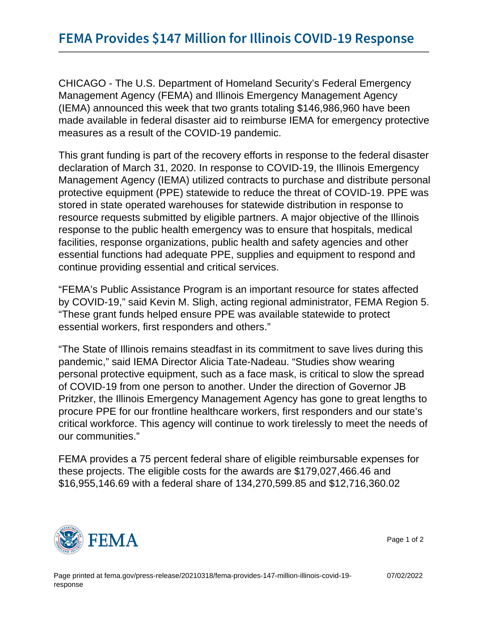CHICAGO - The U.S. Department of Homeland Security's Federal Emergency Management Agency (FEMA) and Illinois Emergency Management Agency (IEMA) announced this week that two grants totaling \$146,986,960 have been made available in federal disaster aid to reimburse IEMA for emergency protective measures as a result of the COVID-19 pandemic.

This grant funding is part of the recovery efforts in response to the federal disaster declaration of March 31, 2020. In response to COVID-19, the Illinois Emergency Management Agency (IEMA) utilized contracts to purchase and distribute personal protective equipment (PPE) statewide to reduce the threat of COVID-19. PPE was stored in state operated warehouses for statewide distribution in response to resource requests submitted by eligible partners. A major objective of the Illinois response to the public health emergency was to ensure that hospitals, medical facilities, response organizations, public health and safety agencies and other essential functions had adequate PPE, supplies and equipment to respond and continue providing essential and critical services.

"FEMA's Public Assistance Program is an important resource for states affected by COVID-19," said Kevin M. Sligh, acting regional administrator, FEMA Region 5. "These grant funds helped ensure PPE was available statewide to protect essential workers, first responders and others."

"The State of Illinois remains steadfast in its commitment to save lives during this pandemic," said IEMA Director Alicia Tate-Nadeau. "Studies show wearing personal protective equipment, such as a face mask, is critical to slow the spread of COVID-19 from one person to another. Under the direction of Governor JB Pritzker, the Illinois Emergency Management Agency has gone to great lengths to procure PPE for our frontline healthcare workers, first responders and our state's critical workforce. This agency will continue to work tirelessly to meet the needs of our communities."

FEMA provides a 75 percent federal share of eligible reimbursable expenses for these projects. The eligible costs for the awards are \$179,027,466.46 and \$16,955,146.69 with a federal share of 134,270,599.85 and \$12,716,360.02



Page 1 of 2

07/02/2022